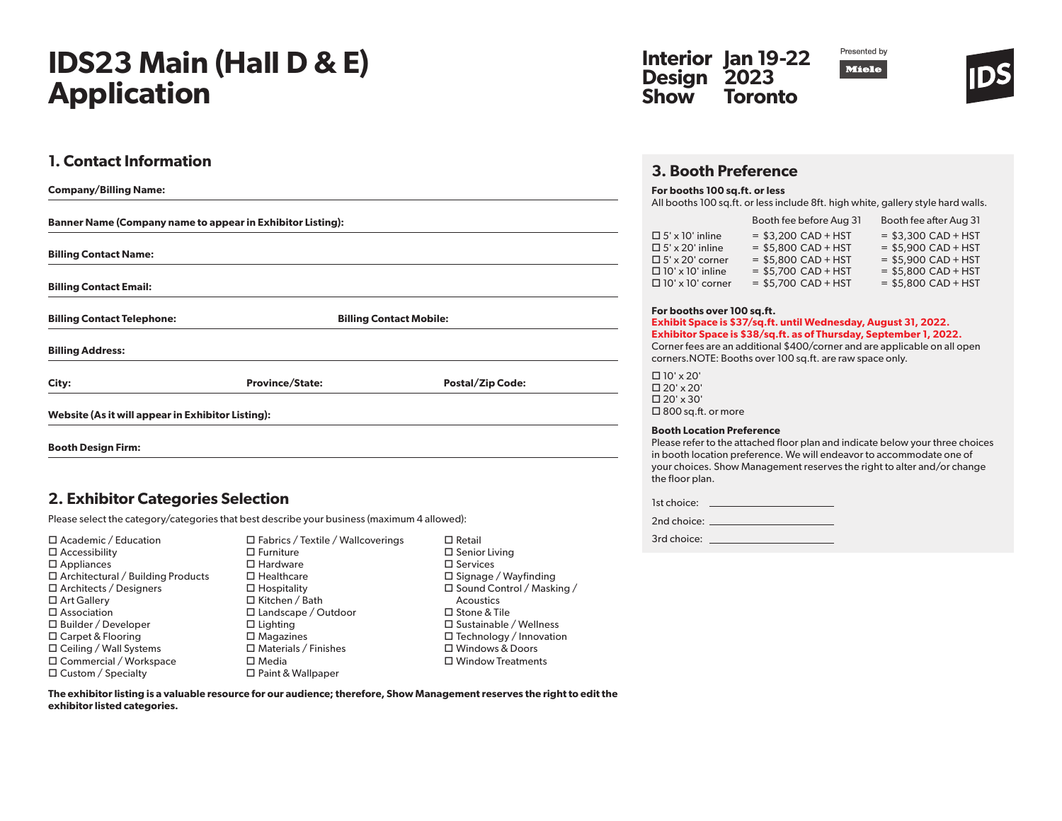# **IDS23 Main (Hall D & E) Application**

## **1. Contact Information**

| <b>Company/Billing Name:</b>                                      |                        |                                |  |  |
|-------------------------------------------------------------------|------------------------|--------------------------------|--|--|
| <b>Banner Name (Company name to appear in Exhibitor Listing):</b> |                        |                                |  |  |
| <b>Billing Contact Name:</b>                                      |                        |                                |  |  |
| <b>Billing Contact Email:</b>                                     |                        |                                |  |  |
| <b>Billing Contact Telephone:</b>                                 |                        | <b>Billing Contact Mobile:</b> |  |  |
| <b>Billing Address:</b>                                           |                        |                                |  |  |
| City:                                                             | <b>Province/State:</b> | <b>Postal/Zip Code:</b>        |  |  |
| Website (As it will appear in Exhibitor Listing):                 |                        |                                |  |  |
| <b>Booth Design Firm:</b>                                         |                        |                                |  |  |

## **2. Exhibitor Categories Selection**

Please select the category/categories that best describe your business (maximum 4 allowed):

| $\Box$ Academic / Education              | $\Box$ Fabrics / Textile / Wallcoverings | $\Box$ Retail                    | 3rd choice: |
|------------------------------------------|------------------------------------------|----------------------------------|-------------|
| $\Box$ Accessibility                     | $\Box$ Furniture                         | $\square$ Senior Living          |             |
| $\square$ Appliances                     | $\Box$ Hardware                          | $\square$ Services               |             |
| $\Box$ Architectural / Building Products | $\Box$ Healthcare                        | $\Box$ Signage / Wayfinding      |             |
| $\Box$ Architects / Designers            | $\Box$ Hospitality                       | $\Box$ Sound Control / Masking / |             |
| $\Box$ Art Gallery                       | $\Box$ Kitchen / Bath                    | Acoustics                        |             |
| $\square$ Association                    | $\Box$ Landscape / Outdoor               | $\Box$ Stone & Tile              |             |
| $\Box$ Builder / Developer               | $\Box$ Lighting                          | $\Box$ Sustainable / Wellness    |             |
| $\Box$ Carpet & Flooring                 | $\square$ Magazines                      | $\Box$ Technology / Innovation   |             |
| $\Box$ Ceiling / Wall Systems            | $\Box$ Materials / Finishes              | $\Box$ Windows & Doors           |             |
| $\Box$ Commercial / Workspace            | $\square$ Media                          | $\Box$ Window Treatments         |             |
| $\Box$ Custom / Specialty                | $\Box$ Paint & Wallpaper                 |                                  |             |

 $\Box$  Retail  $\square$  Senior Living  $\square$  Services  $\square$  Signage / Wayfinding □ Sound Control / Masking / Acoustics □ Stone & Tile □ Sustainable / Wellness □ Technology / Innovation Windows & Doors Window Treatments





## **3. Booth Preference**

#### **For booths 100 sq.ft. or less**

All booths 100 sq.ft. or less include 8ft. high white, gallery style hard walls.

|                         | Booth fee before Aug 31 | Booth fee after Aug 31 |
|-------------------------|-------------------------|------------------------|
| $\Box$ 5' x 10' inline  | $=$ \$3,200 CAD + HST   | $=$ \$3,300 CAD + HST  |
| $\Box$ 5' x 20' inline  | $=$ \$5,800 CAD + HST   | $=$ \$5,900 CAD + HST  |
| $\Box$ 5' x 20' corner  | $=$ \$5,800 CAD + HST   | $=$ \$5,900 CAD + HST  |
| $\Box$ 10' x 10' inline | $=$ \$5,700 CAD + HST   | $=$ \$5,800 CAD + HST  |
| $\Box$ 10' x 10' corner | $=$ \$5,700 CAD + HST   | $=$ \$5.800 CAD + HST  |

#### **For booths over 100 sq.ft.**

#### **Exhibit Space is \$37/sq.ft. until Wednesday, August 31, 2022. Exhibitor Space is \$38/sq.ft. as of Thursday, September 1, 2022.**

Corner fees are an additional \$400/corner and are applicable on all open corners.NOTE: Booths over 100 sq.ft. are raw space only.

 10' x 20'  $\Box$  20' x 20'  $\Box$  20' x 30' □ 800 sq.ft. or more

#### **Booth Location Preference**

Please refer to the attached floor plan and indicate below your three choices in booth location preference. We will endeavor to accommodate one of your choices. Show Management reserves the right to alter and/or change the floor plan.

| 1st choice: |  |
|-------------|--|
|             |  |

| 2nd choice: |  |
|-------------|--|
|             |  |

**The exhibitor listing is a valuable resource for our audience; therefore, Show Management reserves the right to edit the exhibitor listed categories.**